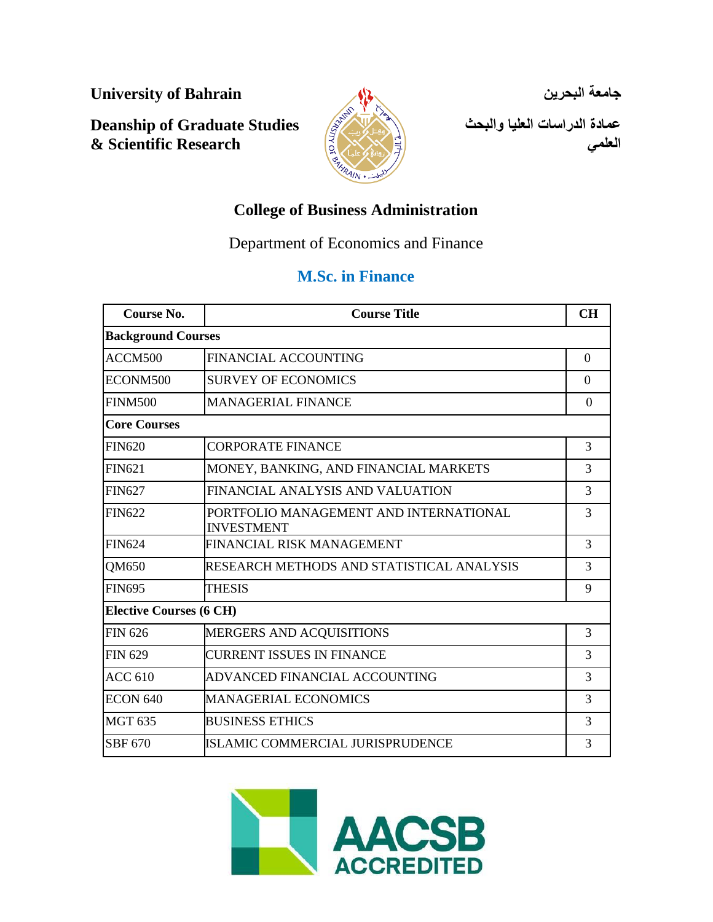**University of Bahrain**

**Deanship of Graduate Studies & Scientific Research**



**جامعة البحرين** 

**عمادة الدراسات العليا والبحث العلمي**

# **College of Business Administration**

Department of Economics and Finance

# **M.Sc. in Finance**

| Course No.                     | <b>Course Title</b>                                         | <b>CH</b> |
|--------------------------------|-------------------------------------------------------------|-----------|
| <b>Background Courses</b>      |                                                             |           |
| ACCM500                        | <b>FINANCIAL ACCOUNTING</b>                                 | $\Omega$  |
| ECONM500                       | <b>SURVEY OF ECONOMICS</b>                                  | $\Omega$  |
| <b>FINM500</b>                 | <b>MANAGERIAL FINANCE</b>                                   | $\Omega$  |
| <b>Core Courses</b>            |                                                             |           |
| <b>FIN620</b>                  | <b>CORPORATE FINANCE</b>                                    | 3         |
| <b>FIN621</b>                  | MONEY, BANKING, AND FINANCIAL MARKETS                       | 3         |
| <b>FIN627</b>                  | FINANCIAL ANALYSIS AND VALUATION                            | 3         |
| <b>FIN622</b>                  | PORTFOLIO MANAGEMENT AND INTERNATIONAL<br><b>INVESTMENT</b> | 3         |
| <b>FIN624</b>                  | FINANCIAL RISK MANAGEMENT                                   | 3         |
| QM650                          | RESEARCH METHODS AND STATISTICAL ANALYSIS                   | 3         |
| <b>FIN695</b>                  | <b>THESIS</b>                                               | 9         |
| <b>Elective Courses (6 CH)</b> |                                                             |           |
| <b>FIN 626</b>                 | <b>MERGERS AND ACQUISITIONS</b>                             | 3         |
| <b>FIN 629</b>                 | <b>CURRENT ISSUES IN FINANCE</b>                            | 3         |
| <b>ACC 610</b>                 | ADVANCED FINANCIAL ACCOUNTING                               | 3         |
| <b>ECON 640</b>                | MANAGERIAL ECONOMICS                                        | 3         |
| <b>MGT 635</b>                 | <b>BUSINESS ETHICS</b>                                      | 3         |
| SBF 670                        | ISLAMIC COMMERCIAL JURISPRUDENCE                            | 3         |

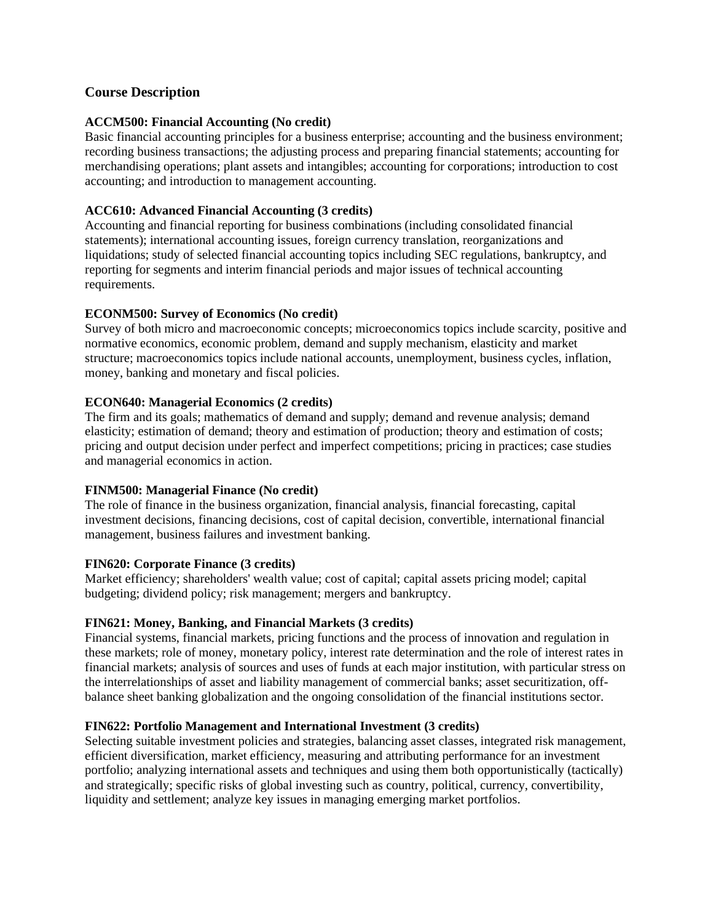# **Course Description**

# **ACCM500: Financial Accounting (No credit)**

Basic financial accounting principles for a business enterprise; accounting and the business environment; recording business transactions; the adjusting process and preparing financial statements; accounting for merchandising operations; plant assets and intangibles; accounting for corporations; introduction to cost accounting; and introduction to management accounting.

## **ACC610: Advanced Financial Accounting (3 credits)**

Accounting and financial reporting for business combinations (including consolidated financial statements); international accounting issues, foreign currency translation, reorganizations and liquidations; study of selected financial accounting topics including SEC regulations, bankruptcy, and reporting for segments and interim financial periods and major issues of technical accounting requirements.

### **ECONM500: Survey of Economics (No credit)**

Survey of both micro and macroeconomic concepts; microeconomics topics include scarcity, positive and normative economics, economic problem, demand and supply mechanism, elasticity and market structure; macroeconomics topics include national accounts, unemployment, business cycles, inflation, money, banking and monetary and fiscal policies.

### **ECON640: Managerial Economics (2 credits)**

The firm and its goals; mathematics of demand and supply; demand and revenue analysis; demand elasticity; estimation of demand; theory and estimation of production; theory and estimation of costs; pricing and output decision under perfect and imperfect competitions; pricing in practices; case studies and managerial economics in action.

#### **FINM500: Managerial Finance (No credit)**

The role of finance in the business organization, financial analysis, financial forecasting, capital investment decisions, financing decisions, cost of capital decision, convertible, international financial management, business failures and investment banking.

#### **FIN620: Corporate Finance (3 credits)**

Market efficiency; shareholders' wealth value; cost of capital; capital assets pricing model; capital budgeting; dividend policy; risk management; mergers and bankruptcy.

#### **FIN621: Money, Banking, and Financial Markets (3 credits)**

Financial systems, financial markets, pricing functions and the process of innovation and regulation in these markets; role of money, monetary policy, interest rate determination and the role of interest rates in financial markets; analysis of sources and uses of funds at each major institution, with particular stress on the interrelationships of asset and liability management of commercial banks; asset securitization, offbalance sheet banking globalization and the ongoing consolidation of the financial institutions sector.

#### **FIN622: Portfolio Management and International Investment (3 credits)**

Selecting suitable investment policies and strategies, balancing asset classes, integrated risk management, efficient diversification, market efficiency, measuring and attributing performance for an investment portfolio; analyzing international assets and techniques and using them both opportunistically (tactically) and strategically; specific risks of global investing such as country, political, currency, convertibility, liquidity and settlement; analyze key issues in managing emerging market portfolios.